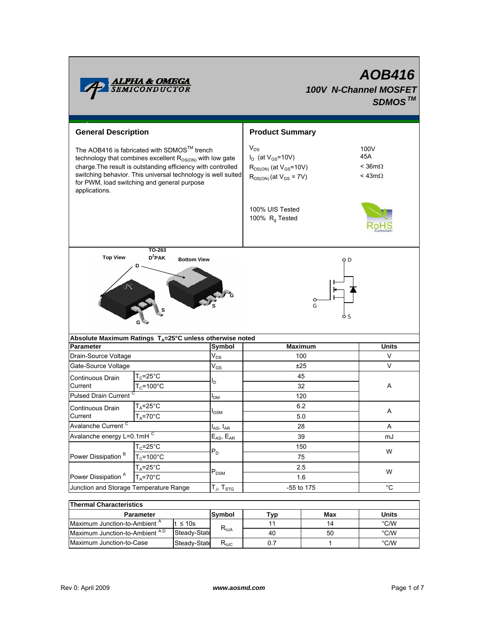

# *AOB416 100V N-Channel MOSFET SDMOSTM*

| <b>General Description</b>                                                                                                                                                                                                                                                                                          |                                                                           | <b>Product Summary</b>                                                                                     |                                                   |                   |  |
|---------------------------------------------------------------------------------------------------------------------------------------------------------------------------------------------------------------------------------------------------------------------------------------------------------------------|---------------------------------------------------------------------------|------------------------------------------------------------------------------------------------------------|---------------------------------------------------|-------------------|--|
| The AOB416 is fabricated with SDMOS™ trench<br>technology that combines excellent R <sub>DS(ON)</sub> with low gate<br>charge. The result is outstanding efficiency with controlled<br>switching behavior. This universal technology is well suited<br>for PWM, load switching and general purpose<br>applications. |                                                                           | $V_{DS}$<br>$I_D$ (at $V_{GS}$ =10V)<br>$R_{DS(ON)}$ (at $V_{GS}$ =10V)<br>$R_{DS(ON)}$ (at $V_{GS}$ = 7V) | 100V<br>45A<br>$<$ 36m $\Omega$<br>< 43m $\Omega$ |                   |  |
|                                                                                                                                                                                                                                                                                                                     |                                                                           |                                                                                                            | 100% UIS Tested<br>100% $R_q$ Tested              |                   |  |
| <b>Top View</b>                                                                                                                                                                                                                                                                                                     | TO-263<br>$D^2$ PAK                                                       |                                                                                                            |                                                   |                   |  |
|                                                                                                                                                                                                                                                                                                                     | Absolute Maximum Ratings $T_A = 25^\circ \text{C}$ unless otherwise noted |                                                                                                            | G                                                 |                   |  |
| <b>Parameter</b>                                                                                                                                                                                                                                                                                                    |                                                                           | Symbol                                                                                                     | <b>Maximum</b>                                    | <b>Units</b>      |  |
| Drain-Source Voltage                                                                                                                                                                                                                                                                                                |                                                                           | $V_{DS}$                                                                                                   | 100                                               | V                 |  |
| Gate-Source Voltage                                                                                                                                                                                                                                                                                                 |                                                                           | $V_{GS}$                                                                                                   | ±25                                               | V                 |  |
| Continuous Drain                                                                                                                                                                                                                                                                                                    | $T_c = 25$ °C                                                             |                                                                                                            | 45                                                |                   |  |
|                                                                                                                                                                                                                                                                                                                     |                                                                           | l <sub>D</sub>                                                                                             |                                                   |                   |  |
| Current                                                                                                                                                                                                                                                                                                             | $T_c = 100^{\circ}$ C                                                     |                                                                                                            | 32                                                | Α                 |  |
| <b>Pulsed Drain Current</b>                                                                                                                                                                                                                                                                                         |                                                                           | I <sub>DM</sub>                                                                                            | 120                                               |                   |  |
| Continuous Drain                                                                                                                                                                                                                                                                                                    | $T_A = 25^\circ C$                                                        | I <sub>DSM</sub>                                                                                           | 6.2                                               | Α                 |  |
| Current                                                                                                                                                                                                                                                                                                             | $T_A = 70$ °C                                                             |                                                                                                            | 5.0                                               |                   |  |
| Avalanche Current <sup>C</sup>                                                                                                                                                                                                                                                                                      |                                                                           | $\boldsymbol{\mathsf{I}}_{\mathsf{AS}}, \, \boldsymbol{\mathsf{I}}_{\mathsf{AR}}$                          | 28                                                | A                 |  |
| Avalanche energy L=0.1mHC                                                                                                                                                                                                                                                                                           |                                                                           | $E_{AS}$ , $E_{AR}$                                                                                        | 39                                                | mJ                |  |
|                                                                                                                                                                                                                                                                                                                     | $T_c = 25$ °C                                                             | $P_D$                                                                                                      | 150                                               | W                 |  |
| Power Dissipation <sup>B</sup>                                                                                                                                                                                                                                                                                      | $T_c = 100^{\circ}C$                                                      |                                                                                                            | 75                                                |                   |  |
|                                                                                                                                                                                                                                                                                                                     | $T_A = 25$ °C                                                             | $P_{DSM}$                                                                                                  | 2.5                                               | W                 |  |
| Power Dissipation <sup>A</sup><br>Junction and Storage Temperature Range                                                                                                                                                                                                                                            | $T_A = 70^\circ C$                                                        | $T_J$ , $T_{STG}$                                                                                          | 1.6<br>-55 to 175                                 | $^{\circ}{\rm C}$ |  |

| Thermal Unaracteristics                  |              |                                           |      |     |       |  |  |  |
|------------------------------------------|--------------|-------------------------------------------|------|-----|-------|--|--|--|
| <b>Parameter</b>                         |              | <b>Svmbol</b>                             | I yp | Max | Units |  |  |  |
| Maximum Junction-to-Ambient <sup>A</sup> | t ≤ 10s      |                                           |      | 14  | °C/W  |  |  |  |
| Maximum Junction-to-Ambient AD           | Steady-State | $\mathsf{R}_{\theta \mathsf{JA}}$         | 40   | 50  | °C/W  |  |  |  |
| Maximum Junction-to-Case                 | Steady-State | $\mathsf{R}_{\theta\mathsf{J}\mathsf{C}}$ |      |     | °C/W  |  |  |  |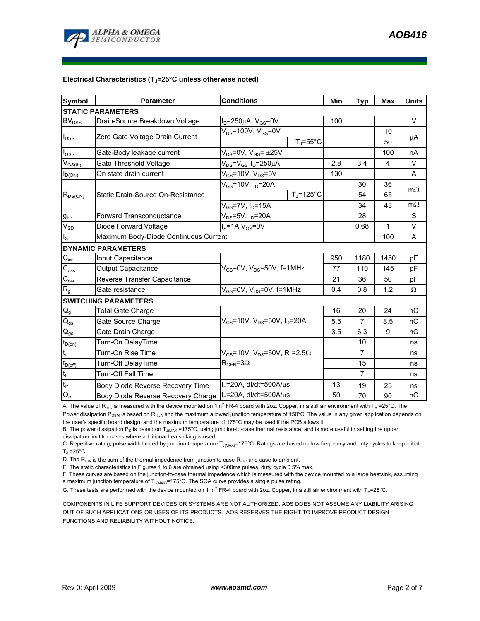

#### Electrical Characteristics (T<sub>J</sub>=25°C unless otherwise noted)

| <b>Symbol</b>                   | <b>Parameter</b>                      | <b>Conditions</b>                                            | Min               | <b>Typ</b>     | <b>Max</b> | <b>Units</b> |  |  |  |
|---------------------------------|---------------------------------------|--------------------------------------------------------------|-------------------|----------------|------------|--------------|--|--|--|
| <b>STATIC PARAMETERS</b>        |                                       |                                                              |                   |                |            |              |  |  |  |
| <b>BV<sub>DSS</sub></b>         | Drain-Source Breakdown Voltage        | $I_D = 250 \mu A$ , $V_{GS} = 0V$                            | 100               |                |            | $\vee$       |  |  |  |
| $I_{DSS}$                       | Zero Gate Voltage Drain Current       | $V_{DS}$ =100V, V $_{GS}$ =0V                                |                   |                | 10         |              |  |  |  |
|                                 |                                       |                                                              | $T_{\rm J}$ =55°C |                | 50         | μA           |  |  |  |
| $I_{GSS}$                       | Gate-Body leakage current             | $V_{DS}$ =0V, $V_{GS}$ = ±25V                                |                   |                | 100        | nA           |  |  |  |
| $V_{GS(th)}$                    | Gate Threshold Voltage                | $V_{DS} = V_{GS} I_D = 250 \mu A$                            | 2.8               | 3.4            | 4          | V            |  |  |  |
| $I_{D(ON)}$                     | On state drain current                | $V_{GS}$ =10V, $V_{DS}$ =5V                                  | 130               |                |            | A            |  |  |  |
| $R_{DS(ON)}$                    | Static Drain-Source On-Resistance     | $V_{GS}$ =10V, $I_D$ =20A                                    |                   | 30             | 36         |              |  |  |  |
|                                 |                                       |                                                              | $T_J = 125$ °C    | 54             | 65         | $m\Omega$    |  |  |  |
|                                 |                                       | $V_{GS}$ =7V, I <sub>D</sub> =15A                            |                   | 34             | 43         | $m\Omega$    |  |  |  |
| $g_{FS}$                        | <b>Forward Transconductance</b>       | $V_{DS}$ =5V, $I_D$ =20A                                     |                   | 28             |            | S            |  |  |  |
| $V_{SD}$                        | Diode Forward Voltage                 | $IS=1A, VGS=0V$                                              |                   | 0.68           | 1          | V            |  |  |  |
| $I_{\rm S}$                     | Maximum Body-Diode Continuous Current |                                                              |                   |                | 100        | A            |  |  |  |
|                                 | <b>DYNAMIC PARAMETERS</b>             |                                                              |                   |                |            |              |  |  |  |
| $C_{iss}$                       | Input Capacitance                     |                                                              | 950               | 1180           | 1450       | pF           |  |  |  |
| C <sub>oss</sub>                | <b>Output Capacitance</b>             | $V_{GS}$ =0V, $V_{DS}$ =50V, f=1MHz                          | 77                | 110            | 145        | рF           |  |  |  |
| $\mathbf{C}_{\text{rss}}$       | Reverse Transfer Capacitance          |                                                              | 21                | 36             | 50         | рF           |  |  |  |
| $R_{g}$                         | Gate resistance                       | $V_{GS}$ =0V, $V_{DS}$ =0V, f=1MHz                           | 0.4               | 0.8            | 1.2        | Ω            |  |  |  |
|                                 | <b>SWITCHING PARAMETERS</b>           |                                                              |                   |                |            |              |  |  |  |
| $\mathsf{Q}_{\mathsf{g}}$       | <b>Total Gate Charge</b>              |                                                              | 16                | 20             | 24         | nC           |  |  |  |
| $\mathbf{Q}_\text{gs}$          | Gate Source Charge                    | $V_{GS}$ =10V, $V_{DS}$ =50V, $I_D$ =20A                     | 5.5               | $\overline{7}$ | 8.5        | nC           |  |  |  |
| $\mathsf{Q}_{\text{gd}}$        | Gate Drain Charge                     |                                                              | 3.5               | 6.3            | 9          | nC           |  |  |  |
| $t_{D(on)}$                     | Turn-On DelayTime                     |                                                              |                   | 10             |            | ns           |  |  |  |
| $t_{\sf r}$                     | Turn-On Rise Time                     | $V_{GS}$ =10V, $V_{DS}$ =50V, R <sub>L</sub> =2.5 $\Omega$ , |                   | $\overline{7}$ |            | ns           |  |  |  |
| $t_{\text{D(off)}}$             | Turn-Off DelayTime                    | $R_{\text{GEN}} = 3\Omega$                                   |                   | 15             |            | ns           |  |  |  |
| $t_f$                           | Turn-Off Fall Time                    |                                                              |                   | $\overline{7}$ |            | ns           |  |  |  |
| $t_{rr}$                        | Body Diode Reverse Recovery Time      | $I_F$ =20A, dl/dt=500A/ $\mu$ s                              | 13                | 19             | 25         | ns           |  |  |  |
| $Q_{\scriptscriptstyle \rm IT}$ | Body Diode Reverse Recovery Charge    | $I_F$ =20A, dl/dt=500A/ $\mu$ s                              | 50                | 70             | 90         | nC           |  |  |  |

A. The value of R<sub>9JA</sub> is measured with the device mounted on 1in<sup>2</sup> FR-4 board with 2oz. Copper, in a still air environment with T<sub>A</sub> =25°C. The Power dissipation P<sub>DSM</sub> is based on R<sub>6JA</sub> and the maximum allowed junction temperature of 150°C. The value in any given application depends on the user's specific board design, and the maximum temperature of 175°C may be used if the PCB allows it.

B. The power dissipation P<sub>D</sub> is based on T<sub>J(MAX)</sub>=175°C, using junction-to-case thermal resistance, and is more useful in setting the upper dissipation limit for cases where additional heatsinking is used.

C. Repetitive rating, pulse width limited by junction temperature T<sub>J(MAX)</sub>=175°C. Ratings are based on low frequency and duty cycles to keep initial  $T_{\text{J}}$  =25°C.

D. The  $R_{0JA}$  is the sum of the thermal impedence from junction to case  $R_{0JC}$  and case to ambient.

E. The static characteristics in Figures 1 to 6 are obtained using <300ms pulses, duty cycle 0.5% max.

F. These curves are based on the junction-to-case thermal impedence which is measured with the device mounted to a large heatsink, assuming a maximum junction temperature of  $T_{J(MAX)}$ =175°C. The SOA curve provides a single pulse rating.

G. These tests are performed with the device mounted on 1 in<sup>2</sup> FR-4 board with 2oz. Copper, in a still air environment with T<sub>A</sub>=25°C.

COMPONENTS IN LIFE SUPPORT DEVICES OR SYSTEMS ARE NOT AUTHORIZED. AOS DOES NOT ASSUME ANY LIABILITY ARISING OUT OF SUCH APPLICATIONS OR USES OF ITS PRODUCTS. AOS RESERVES THE RIGHT TO IMPROVE PRODUCT DESIGN, FUNCTIONS AND RELIABILITY WITHOUT NOTICE.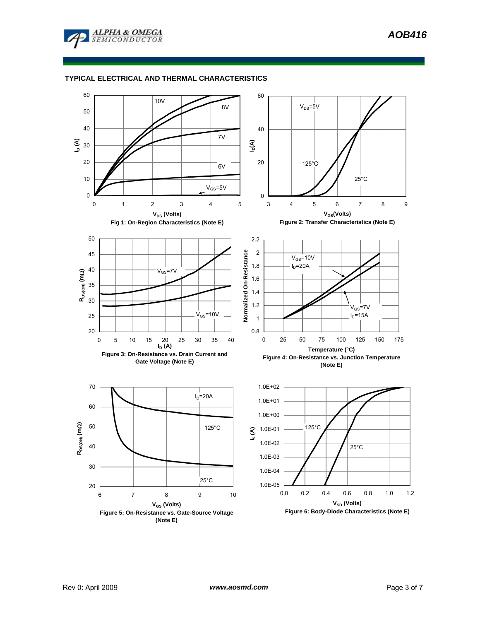

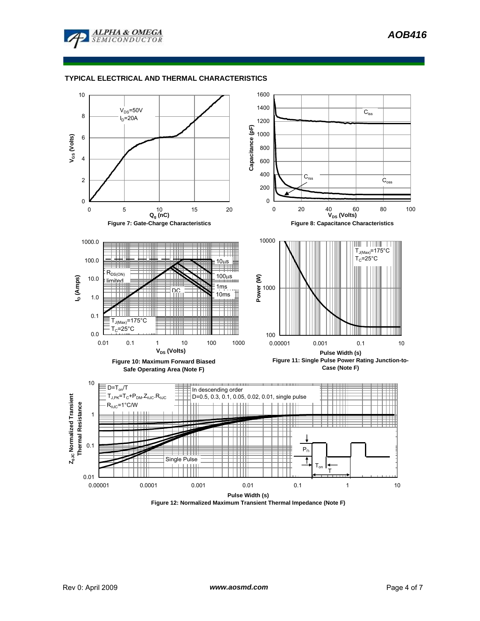



**Figure 12: Normalized Maximum Transient Thermal Impedance (Note F)**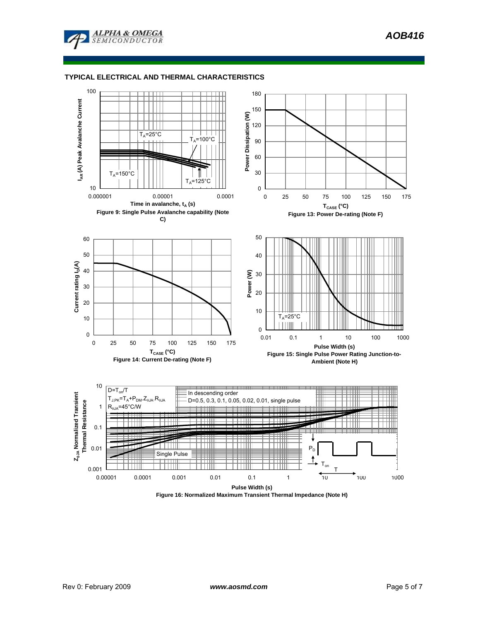



**Figure 16: Normalized Maximum Transient Thermal Impedance (Note H)**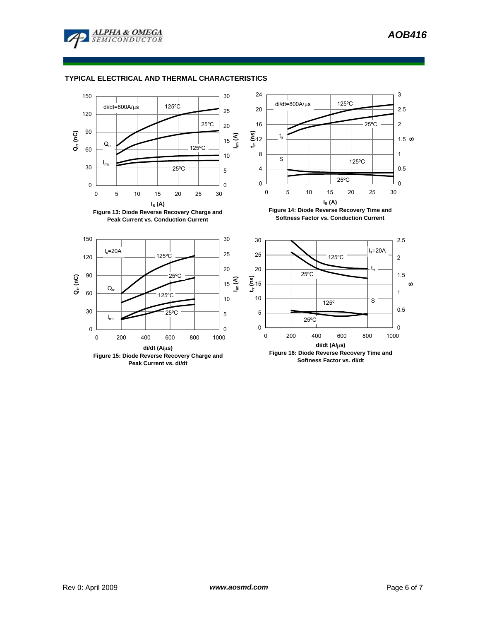





Rev 0: April 2009 *www.aosmd.com* Page 6 of 7